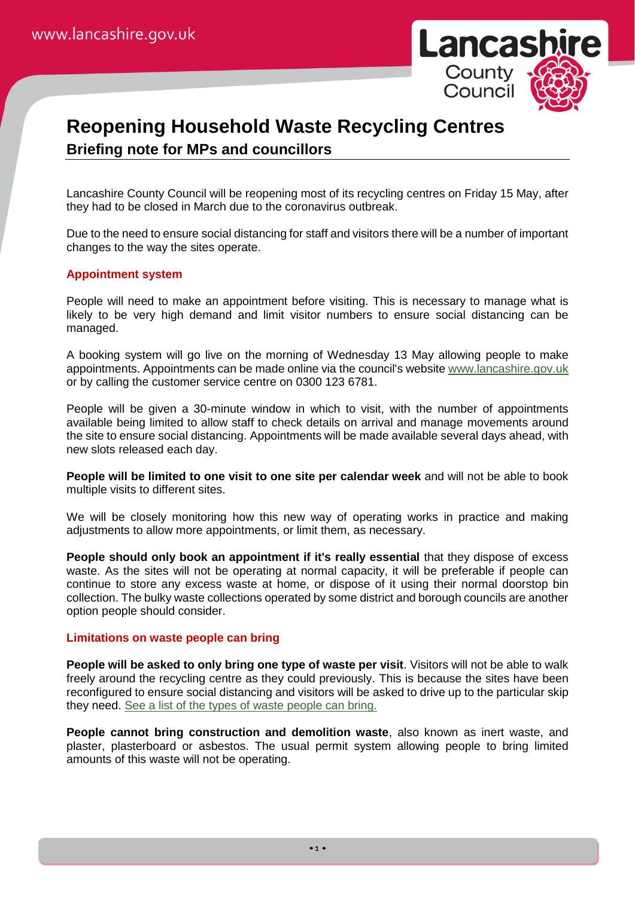

# **Reopening Household Waste Recycling Centres Briefing note for MPs and councillors**

Lancashire County Council will be reopening most of its recycling centres on Friday 15 May, after they had to be closed in March due to the coronavirus outbreak.

Due to the need to ensure social distancing for staff and visitors there will be a number of important changes to the way the sites operate.

## **Appointment system**

People will need to make an appointment before visiting. This is necessary to manage what is likely to be very high demand and limit visitor numbers to ensure social distancing can be managed.

A booking system will go live on the morning of Wednesday 13 May allowing people to make appointments. Appointments can be made online via the council's website [www.lancashire.gov.uk](http://www.lancashire.gov.uk/) or by calling the customer service centre on 0300 123 6781.

People will be given a 30-minute window in which to visit, with the number of appointments available being limited to allow staff to check details on arrival and manage movements around the site to ensure social distancing. Appointments will be made available several days ahead, with new slots released each day.

**People will be limited to one visit to one site per calendar week** and will not be able to book multiple visits to different sites.

We will be closely monitoring how this new way of operating works in practice and making adjustments to allow more appointments, or limit them, as necessary.

**People should only book an appointment if it's really essential** that they dispose of excess waste. As the sites will not be operating at normal capacity, it will be preferable if people can continue to store any excess waste at home, or dispose of it using their normal doorstop bin collection. The bulky waste collections operated by some district and borough councils are another option people should consider.

## **Limitations on waste people can bring**

**People will be asked to only bring one type of waste per visit**. Visitors will not be able to walk freely around the recycling centre as they could previously. This is because the sites have been reconfigured to ensure social distancing and visitors will be asked to drive up to the particular skip they need. [See a list of the types of waste people can bring.](https://www.lancashire.gov.uk/waste-and-recycling/types-of-waste-our-recycling-centres-accept/)

**People cannot bring construction and demolition waste**, also known as inert waste, and plaster, plasterboard or asbestos. The usual permit system allowing people to bring limited amounts of this waste will not be operating.